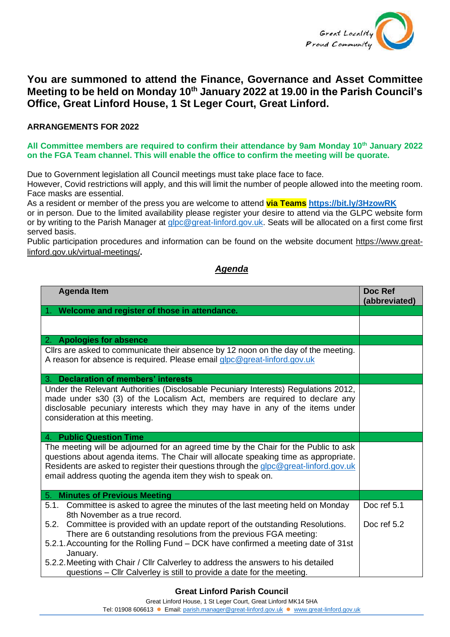

## **You are summoned to attend the Finance, Governance and Asset Committee Meeting to be held on Monday 10th January 2022 at 19.00 in the Parish Council's Office, Great Linford House, 1 St Leger Court, Great Linford.**

## **ARRANGEMENTS FOR 2022**

## **All Committee members are required to confirm their attendance by 9am Monday 10th January 2022 on the FGA Team channel. This will enable the office to confirm the meeting will be quorate.**

Due to Government legislation all Council meetings must take place face to face.

However, Covid restrictions will apply, and this will limit the number of people allowed into the meeting room. Face masks are essential.

As a resident or member of the press you are welcome to attend **via Teams <https://bit.ly/3HzowRK>**

or in person. Due to the limited availability please register your desire to attend via the GLPC website form or by writing to the Parish Manager at [glpc@great-linford.gov.uk.](mailto:glpc@great-linford.gov.uk) Seats will be allocated on a first come first served basis.

Public participation procedures and information can be found on the website document [https://www.great](https://www.great-linford.gov.uk/virtual-meetings/)[linford.gov.uk/virtual-meetings/](https://www.great-linford.gov.uk/virtual-meetings/)**.** 

## *Agenda*

| <b>Agenda Item</b>                                                                                                                                                                                                                                                                                                                                                                                                      | Doc Ref<br>(abbreviated) |
|-------------------------------------------------------------------------------------------------------------------------------------------------------------------------------------------------------------------------------------------------------------------------------------------------------------------------------------------------------------------------------------------------------------------------|--------------------------|
| Welcome and register of those in attendance.                                                                                                                                                                                                                                                                                                                                                                            |                          |
|                                                                                                                                                                                                                                                                                                                                                                                                                         |                          |
| 2. Apologies for absence                                                                                                                                                                                                                                                                                                                                                                                                |                          |
| Cllrs are asked to communicate their absence by 12 noon on the day of the meeting.<br>A reason for absence is required. Please email glpc@great-linford.gov.uk                                                                                                                                                                                                                                                          |                          |
| <b>Declaration of members' interests</b><br>3.                                                                                                                                                                                                                                                                                                                                                                          |                          |
| Under the Relevant Authorities (Disclosable Pecuniary Interests) Regulations 2012,<br>made under s30 (3) of the Localism Act, members are required to declare any<br>disclosable pecuniary interests which they may have in any of the items under<br>consideration at this meeting.                                                                                                                                    |                          |
| 4. Public Question Time                                                                                                                                                                                                                                                                                                                                                                                                 |                          |
| The meeting will be adjourned for an agreed time by the Chair for the Public to ask<br>questions about agenda items. The Chair will allocate speaking time as appropriate.<br>Residents are asked to register their questions through the glpc@great-linford.gov.uk<br>email address quoting the agenda item they wish to speak on.                                                                                     |                          |
| 5. Minutes of Previous Meeting                                                                                                                                                                                                                                                                                                                                                                                          |                          |
| 5.1. Committee is asked to agree the minutes of the last meeting held on Monday<br>8th November as a true record.                                                                                                                                                                                                                                                                                                       | Doc ref 5.1              |
| 5.2. Committee is provided with an update report of the outstanding Resolutions.<br>There are 6 outstanding resolutions from the previous FGA meeting:<br>5.2.1. Accounting for the Rolling Fund – DCK have confirmed a meeting date of 31st<br>January.<br>5.2.2. Meeting with Chair / Cllr Calverley to address the answers to his detailed<br>questions - Cllr Calverley is still to provide a date for the meeting. | Doc ref 5.2              |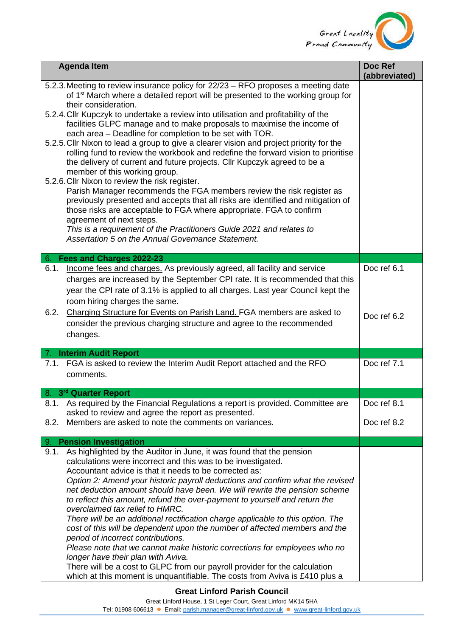

|              | <b>Agenda Item</b>                                                                                                                                                                                                                                                                                                                                                                                                                                                                                                                                                                                                                                                                                                                                                                                                                                                                                                                                                                                                                                                                                                                                                               | Doc Ref<br>(abbreviated)   |
|--------------|----------------------------------------------------------------------------------------------------------------------------------------------------------------------------------------------------------------------------------------------------------------------------------------------------------------------------------------------------------------------------------------------------------------------------------------------------------------------------------------------------------------------------------------------------------------------------------------------------------------------------------------------------------------------------------------------------------------------------------------------------------------------------------------------------------------------------------------------------------------------------------------------------------------------------------------------------------------------------------------------------------------------------------------------------------------------------------------------------------------------------------------------------------------------------------|----------------------------|
|              | 5.2.3. Meeting to review insurance policy for 22/23 - RFO proposes a meeting date<br>of 1 <sup>st</sup> March where a detailed report will be presented to the working group for<br>their consideration.<br>5.2.4. Cllr Kupczyk to undertake a review into utilisation and profitability of the<br>facilities GLPC manage and to make proposals to maximise the income of<br>each area - Deadline for completion to be set with TOR.<br>5.2.5. Cllr Nixon to lead a group to give a clearer vision and project priority for the<br>rolling fund to review the workbook and redefine the forward vision to prioritise<br>the delivery of current and future projects. Cllr Kupczyk agreed to be a<br>member of this working group.<br>5.2.6. Cllr Nixon to review the risk register.<br>Parish Manager recommends the FGA members review the risk register as<br>previously presented and accepts that all risks are identified and mitigation of<br>those risks are acceptable to FGA where appropriate. FGA to confirm<br>agreement of next steps.<br>This is a requirement of the Practitioners Guide 2021 and relates to<br>Assertation 5 on the Annual Governance Statement. |                            |
|              | 6. Fees and Charges 2022-23                                                                                                                                                                                                                                                                                                                                                                                                                                                                                                                                                                                                                                                                                                                                                                                                                                                                                                                                                                                                                                                                                                                                                      |                            |
| 6.1.<br>6.2. | Income fees and charges. As previously agreed, all facility and service<br>charges are increased by the September CPI rate. It is recommended that this<br>year the CPI rate of 3.1% is applied to all charges. Last year Council kept the<br>room hiring charges the same.<br>Charging Structure for Events on Parish Land. FGA members are asked to<br>consider the previous charging structure and agree to the recommended<br>changes.                                                                                                                                                                                                                                                                                                                                                                                                                                                                                                                                                                                                                                                                                                                                       | Doc ref 6.1<br>Doc ref 6.2 |
|              |                                                                                                                                                                                                                                                                                                                                                                                                                                                                                                                                                                                                                                                                                                                                                                                                                                                                                                                                                                                                                                                                                                                                                                                  |                            |
|              | <b>Interim Audit Report</b><br>7.1. FGA is asked to review the Interim Audit Report attached and the RFO<br>comments.                                                                                                                                                                                                                                                                                                                                                                                                                                                                                                                                                                                                                                                                                                                                                                                                                                                                                                                                                                                                                                                            | Doc ref 7.1                |
|              | 8. 3 <sup>rd</sup> Quarter Report                                                                                                                                                                                                                                                                                                                                                                                                                                                                                                                                                                                                                                                                                                                                                                                                                                                                                                                                                                                                                                                                                                                                                |                            |
| 8.2.         | 8.1. As required by the Financial Regulations a report is provided. Committee are<br>asked to review and agree the report as presented.<br>Members are asked to note the comments on variances.                                                                                                                                                                                                                                                                                                                                                                                                                                                                                                                                                                                                                                                                                                                                                                                                                                                                                                                                                                                  | Doc ref 8.1<br>Doc ref 8.2 |
| 9.           | <b>Pension Investigation</b>                                                                                                                                                                                                                                                                                                                                                                                                                                                                                                                                                                                                                                                                                                                                                                                                                                                                                                                                                                                                                                                                                                                                                     |                            |
| 9.1.         | As highlighted by the Auditor in June, it was found that the pension<br>calculations were incorrect and this was to be investigated.<br>Accountant advice is that it needs to be corrected as:<br>Option 2: Amend your historic payroll deductions and confirm what the revised<br>net deduction amount should have been. We will rewrite the pension scheme<br>to reflect this amount, refund the over-payment to yourself and return the<br>overclaimed tax relief to HMRC.<br>There will be an additional rectification charge applicable to this option. The<br>cost of this will be dependent upon the number of affected members and the<br>period of incorrect contributions.<br>Please note that we cannot make historic corrections for employees who no<br>longer have their plan with Aviva.<br>There will be a cost to GLPC from our payroll provider for the calculation<br>which at this moment is unquantifiable. The costs from Aviva is £410 plus a                                                                                                                                                                                                             |                            |